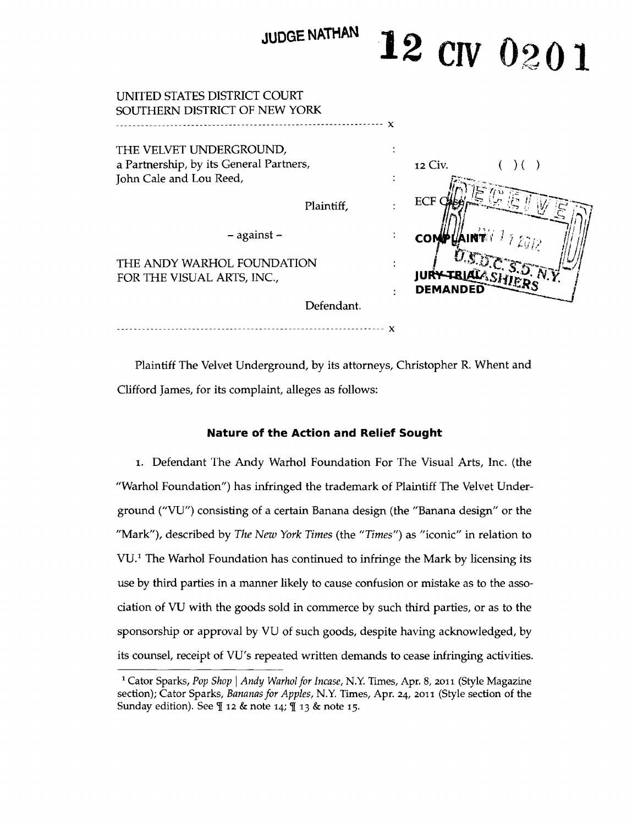| JUDGE NATHAN                                                                                  | 12 CIV 0201                |
|-----------------------------------------------------------------------------------------------|----------------------------|
| UNITED STATES DISTRICT COURT<br>SOUTHERN DISTRICT OF NEW YORK                                 |                            |
| THE VELVET UNDERGROUND,<br>a Partnership, by its General Partners,<br>John Cale and Lou Reed, | 12 Civ.<br>$($ $)$ $($ $)$ |
| Plaintiff,                                                                                    | ECF                        |
| $-$ against $-$                                                                               | <b>COMP</b>                |
| THE ANDY WARHOL FOUNDATION<br>FOR THE VISUAL ARTS, INC.,                                      | DEMANDED                   |
| Defendant.                                                                                    |                            |

--- ----------- ------------------------------------------ ---- x

Plaintiff The Velvet Underground, by its attorneys, Christopher R. Whent and Clifford James, for its complaint, alleges as follows:

# **Nature of the Action and Relief Sought**

1. Defendant The Andy Warhol Foundation For The Visual Arts, Inc. (the "Warhol Foundation") has infringed the trademark of Plaintiff The Velvet Underground ("VU") consisting of a certain Banana design (the "Banana design" or the "Mark"), described by *The New York Times* (the *"Times")* as "iconic" in relation to VU.<sup>1</sup> The Warhol Foundation has continued to infringe the Mark by licensing its use by third parties in a manner likely to cause confusion or mistake as to the association of VU with the goods sold in commerce by such third parties, or as to the sponsorship or approval by VU of such goods, despite having acknowledged, by its counsel, receipt of VU's repeated written demands to cease infringing activities.

<sup>&</sup>lt;sup>1</sup> Cator Sparks, *Pop Shop* | Andy Warhol for Incase, N.Y. Times, Apr. 8, 2011 (Style Magazine section); Cator Sparks, *Bananas for Apples,* N.Y. Times, Apr. 24, 2011 (Style section of the Sunday edition). See  $\P$  12 & note 14;  $\P$  13 & note 15.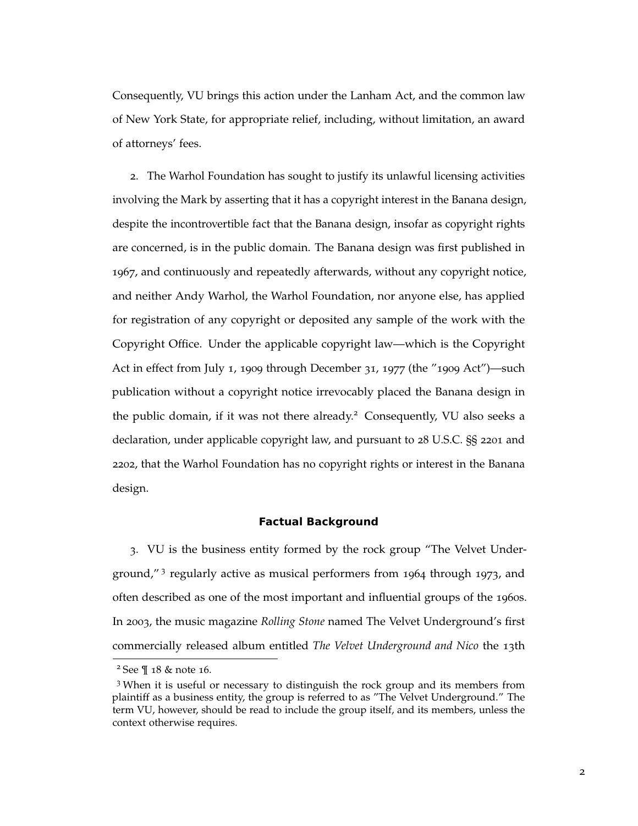Consequently, VU brings this action under the Lanham Act, and the common law of New York State, for appropriate relief, including, without limitation, an award of attorneys' fees.

2. The Warhol Foundation has sought to justify its unlawful licensing activities involving the Mark by asserting that it has a copyright interest in the Banana design, despite the incontrovertible fact that the Banana design, insofar as copyright rights are concerned, is in the public domain. The Banana design was first published in 1967, and continuously and repeatedly afterwards, without any copyright notice, and neither Andy Warhol, the Warhol Foundation, nor anyone else, has applied for registration of any copyright or deposited any sample of the work with the Copyright Office. Under the applicable copyright law—which is the Copyright Act in effect from July 1, 1909 through December 31, 1977 (the "1909 Act")—such publication without a copyright notice irrevocably placed the Banana design in the public domain, if it was not there already.<sup>2</sup> Consequently, VU also seeks a declaration, under applicable copyright law, and pursuant to 28 U.S.C. §§ 2201 and 2202, that the Warhol Foundation has no copyright rights or interest in the Banana design.

# **Factual Background**

3. VU is the business entity formed by the rock group "The Velvet Underground,"<sup>3</sup> regularly active as musical performers from 1964 through 1973, and often described as one of the most important and influential groups of the 1960s. In 2003, the music magazine *Rolling Stone* named The Velvet Underground's first commercially released album entitled *The Velvet Underground and Nico* the 13th

<sup>2</sup> See ¶ 18 & note 16.

<sup>3</sup> When it is useful or necessary to distinguish the rock group and its members from plaintiff as a business entity, the group is referred to as "The Velvet Underground." The term VU, however, should be read to include the group itself, and its members, unless the context otherwise requires.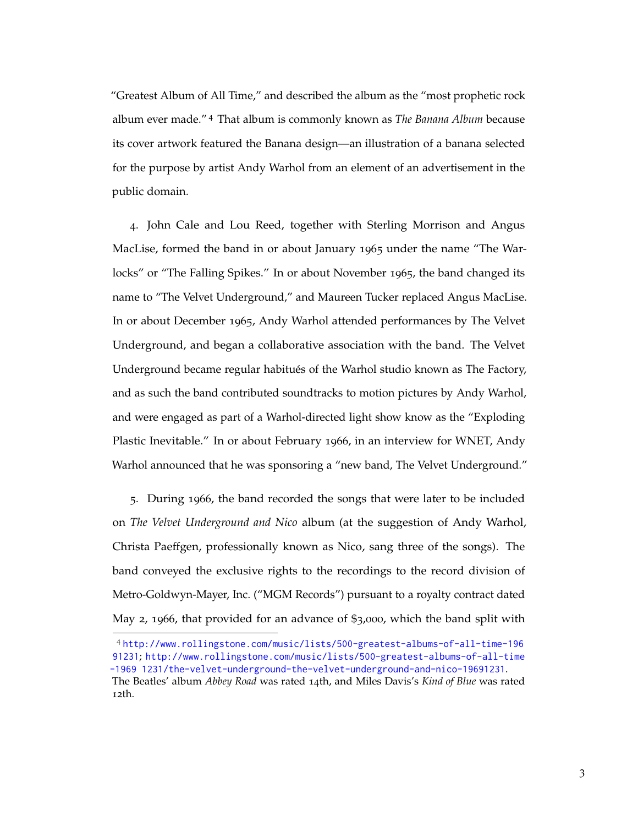"Greatest Album of All Time," and described the album as the "most prophetic rock album ever made." <sup>4</sup> That album is commonly known as *The Banana Album* because its cover artwork featured the Banana design—an illustration of a banana selected for the purpose by artist Andy Warhol from an element of an advertisement in the public domain.

4. John Cale and Lou Reed, together with Sterling Morrison and Angus MacLise, formed the band in or about January 1965 under the name "The Warlocks" or "The Falling Spikes." In or about November 1965, the band changed its name to "The Velvet Underground," and Maureen Tucker replaced Angus MacLise. In or about December 1965, Andy Warhol attended performances by The Velvet Underground, and began a collaborative association with the band. The Velvet Underground became regular habitués of the Warhol studio known as The Factory, and as such the band contributed soundtracks to motion pictures by Andy Warhol, and were engaged as part of a Warhol-directed light show know as the "Exploding Plastic Inevitable." In or about February 1966, in an interview for WNET, Andy Warhol announced that he was sponsoring a "new band, The Velvet Underground."

5. During 1966, the band recorded the songs that were later to be included on *The Velvet Underground and Nico* album (at the suggestion of Andy Warhol, Christa Paeffgen, professionally known as Nico, sang three of the songs). The band conveyed the exclusive rights to the recordings to the record division of Metro-Goldwyn-Mayer, Inc. ("MGM Records") pursuant to a royalty contract dated May 2, 1966, that provided for an advance of \$3,000, which the band split with

<sup>4</sup> [http://www.rollingstone.com/music/lists/500-greatest-albums-of-all-time-196](http://www.rollingstone.com/music/lists/500-greatest-albums-of-all-time-19691231) [91231](http://www.rollingstone.com/music/lists/500-greatest-albums-of-all-time-19691231); [http://www.rollingstone.com/music/lists/500-greatest-albums-of-all-time](http://www.rollingstone.com/music/lists/500-greatest-albums-of-all-time-19691231/the-velvet-underground-the-velvet-underground-and-nico-19691231) [-1969 1231/the-velvet-underground-the-velvet-underground-and-nico-19691231](http://www.rollingstone.com/music/lists/500-greatest-albums-of-all-time-19691231/the-velvet-underground-the-velvet-underground-and-nico-19691231).

The Beatles' album *Abbey Road* was rated 14th, and Miles Davis's *Kind of Blue* was rated 12th.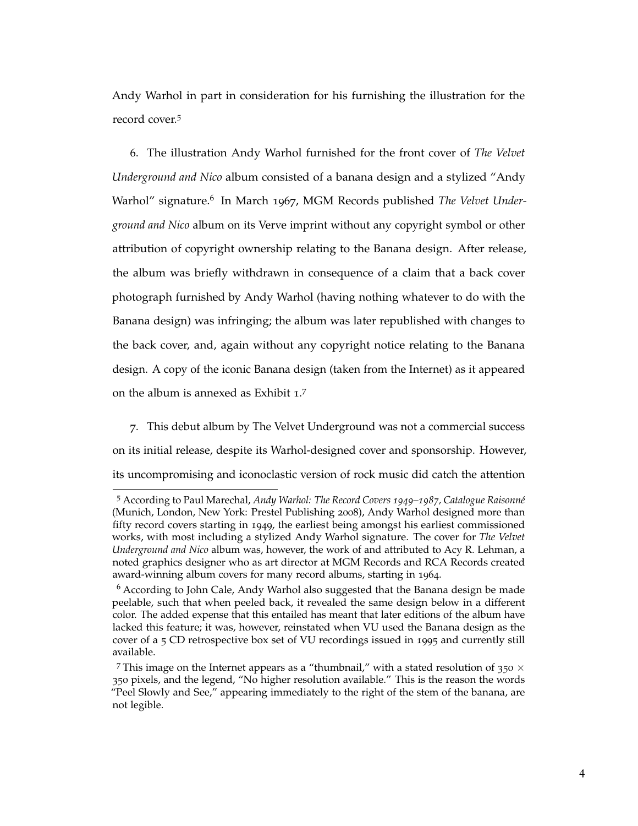Andy Warhol in part in consideration for his furnishing the illustration for the record cover.<sup>5</sup>

6. The illustration Andy Warhol furnished for the front cover of *The Velvet Underground and Nico* album consisted of a banana design and a stylized "Andy Warhol" signature.<sup>6</sup> In March 1967, MGM Records published The Velvet Under*ground and Nico* album on its Verve imprint without any copyright symbol or other attribution of copyright ownership relating to the Banana design. After release, the album was briefly withdrawn in consequence of a claim that a back cover photograph furnished by Andy Warhol (having nothing whatever to do with the Banana design) was infringing; the album was later republished with changes to the back cover, and, again without any copyright notice relating to the Banana design. A copy of the iconic Banana design (taken from the Internet) as it appeared on the album is annexed as Exhibit  $1.7$ 

7. This debut album by The Velvet Underground was not a commercial success on its initial release, despite its Warhol-designed cover and sponsorship. However, its uncompromising and iconoclastic version of rock music did catch the attention

<sup>5</sup> According to Paul Marechal, *Andy Warhol: The Record Covers 1949–1987, Catalogue Raisonné* (Munich, London, New York: Prestel Publishing 2008), Andy Warhol designed more than fifty record covers starting in 1949, the earliest being amongst his earliest commissioned works, with most including a stylized Andy Warhol signature. The cover for *The Velvet Underground and Nico* album was, however, the work of and attributed to Acy R. Lehman, a noted graphics designer who as art director at MGM Records and RCA Records created award-winning album covers for many record albums, starting in 1964.

 $6$  According to John Cale, Andy Warhol also suggested that the Banana design be made peelable, such that when peeled back, it revealed the same design below in a different color. The added expense that this entailed has meant that later editions of the album have lacked this feature; it was, however, reinstated when VU used the Banana design as the cover of a 5 CD retrospective box set of VU recordings issued in 1995 and currently still available.

<sup>&</sup>lt;sup>7</sup> This image on the Internet appears as a "thumbnail," with a stated resolution of  $350 \times$ 350 pixels, and the legend, "No higher resolution available." This is the reason the words "Peel Slowly and See," appearing immediately to the right of the stem of the banana, are not legible.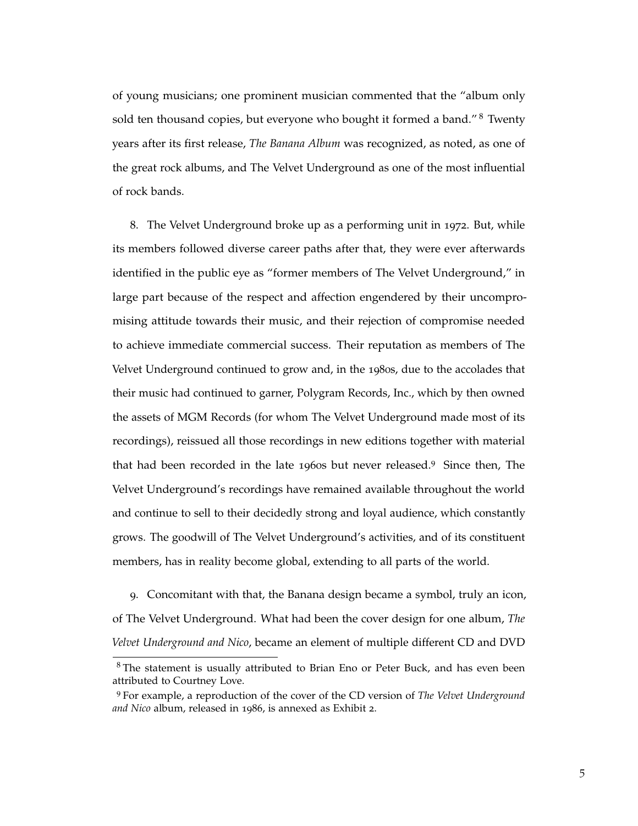of young musicians; one prominent musician commented that the "album only sold ten thousand copies, but everyone who bought it formed a band."<sup>8</sup> Twenty years after its first release, *The Banana Album* was recognized, as noted, as one of the great rock albums, and The Velvet Underground as one of the most influential of rock bands.

8. The Velvet Underground broke up as a performing unit in 1972. But, while its members followed diverse career paths after that, they were ever afterwards identified in the public eye as "former members of The Velvet Underground," in large part because of the respect and affection engendered by their uncompromising attitude towards their music, and their rejection of compromise needed to achieve immediate commercial success. Their reputation as members of The Velvet Underground continued to grow and, in the 1980s, due to the accolades that their music had continued to garner, Polygram Records, Inc., which by then owned the assets of MGM Records (for whom The Velvet Underground made most of its recordings), reissued all those recordings in new editions together with material that had been recorded in the late 1960s but never released.<sup>9</sup> Since then, The Velvet Underground's recordings have remained available throughout the world and continue to sell to their decidedly strong and loyal audience, which constantly grows. The goodwill of The Velvet Underground's activities, and of its constituent members, has in reality become global, extending to all parts of the world.

9. Concomitant with that, the Banana design became a symbol, truly an icon, of The Velvet Underground. What had been the cover design for one album, *The Velvet Underground and Nico*, became an element of multiple different CD and DVD

<sup>8</sup> The statement is usually attributed to Brian Eno or Peter Buck, and has even been attributed to Courtney Love.

<sup>9</sup> For example, a reproduction of the cover of the CD version of *The Velvet Underground and Nico* album, released in 1986, is annexed as Exhibit 2.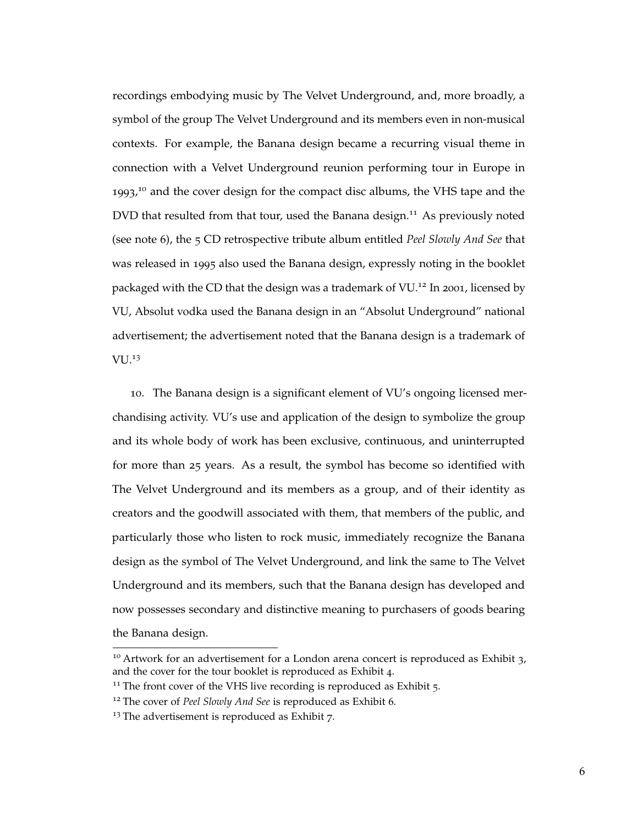recordings embodying music by The Velvet Underground, and, more broadly, a symbol of the group The Velvet Underground and its members even in non-musical contexts. For example, the Banana design became a recurring visual theme in connection with a Velvet Underground reunion performing tour in Europe in 1993,<sup>10</sup> and the cover design for the compact disc albums, the VHS tape and the DVD that resulted from that tour, used the Banana design.<sup>11</sup> As previously noted (see note 6), the 5 CD retrospective tribute album entitled *Peel Slowly And See* that was released in 1995 also used the Banana design, expressly noting in the booklet packaged with the CD that the design was a trademark of  $VU^{12}$  In 2001, licensed by VU, Absolut vodka used the Banana design in an "Absolut Underground" national advertisement; the advertisement noted that the Banana design is a trademark of VU.<sup>13</sup>

10. The Banana design is a significant element of VU's ongoing licensed merchandising activity. VU's use and application of the design to symbolize the group and its whole body of work has been exclusive, continuous, and uninterrupted for more than 25 years. As a result, the symbol has become so identified with The Velvet Underground and its members as a group, and of their identity as creators and the goodwill associated with them, that members of the public, and particularly those who listen to rock music, immediately recognize the Banana design as the symbol of The Velvet Underground, and link the same to The Velvet Underground and its members, such that the Banana design has developed and now possesses secondary and distinctive meaning to purchasers of goods bearing the Banana design.

<sup>&</sup>lt;sup>10</sup> Artwork for an advertisement for a London arena concert is reproduced as Exhibit  $3$ , and the cover for the tour booklet is reproduced as Exhibit 4.

 $11$ <sup>11</sup> The front cover of the VHS live recording is reproduced as Exhibit  $5$ .

<sup>12</sup> The cover of *Peel Slowly And See* is reproduced as Exhibit 6.

<sup>&</sup>lt;sup>13</sup> The advertisement is reproduced as Exhibit 7.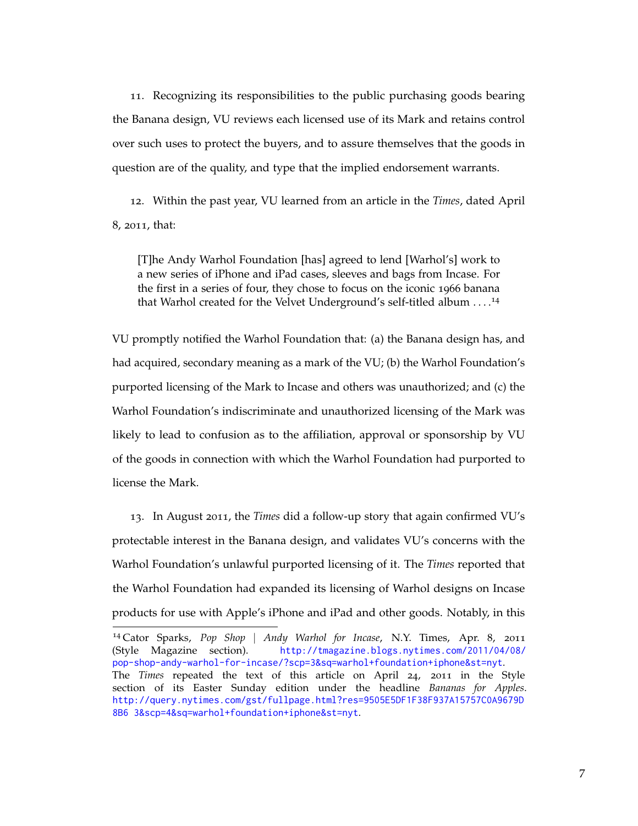11. Recognizing its responsibilities to the public purchasing goods bearing the Banana design, VU reviews each licensed use of its Mark and retains control over such uses to protect the buyers, and to assure themselves that the goods in question are of the quality, and type that the implied endorsement warrants.

12. Within the past year, VU learned from an article in the *Times*, dated April 8, 2011, that:

[T]he Andy Warhol Foundation [has] agreed to lend [Warhol's] work to a new series of iPhone and iPad cases, sleeves and bags from Incase. For the first in a series of four, they chose to focus on the iconic 1966 banana that Warhol created for the Velvet Underground's self-titled album . . . .<sup>14</sup>

VU promptly notified the Warhol Foundation that: (a) the Banana design has, and had acquired, secondary meaning as a mark of the VU; (b) the Warhol Foundation's purported licensing of the Mark to Incase and others was unauthorized; and (c) the Warhol Foundation's indiscriminate and unauthorized licensing of the Mark was likely to lead to confusion as to the affiliation, approval or sponsorship by VU of the goods in connection with which the Warhol Foundation had purported to license the Mark.

13. In August 2011, the *Times* did a follow-up story that again confirmed VU's protectable interest in the Banana design, and validates VU's concerns with the Warhol Foundation's unlawful purported licensing of it. The *Times* reported that the Warhol Foundation had expanded its licensing of Warhol designs on Incase products for use with Apple's iPhone and iPad and other goods. Notably, in this

<sup>14</sup> Cator Sparks, *Pop Shop* | *Andy Warhol for Incase*, N.Y. Times, Apr. 8, 2011 (Style Magazine section). [http://tmagazine.blogs.nytimes.com/2011/04/08/](http://tmagazine.blogs.nytimes.com/2011/04/08/pop-shop-andy-warhol-for-incase/?scp=3&sq=warhol+foundation+iphone&st=nyt) [pop-shop-andy-warhol-for-incase/?scp=3&sq=warhol+foundation+iphone&st=nyt](http://tmagazine.blogs.nytimes.com/2011/04/08/pop-shop-andy-warhol-for-incase/?scp=3&sq=warhol+foundation+iphone&st=nyt). The *Times* repeated the text of this article on April 24, 2011 in the Style section of its Easter Sunday edition under the headline *Bananas for Apples*. [http://query.nytimes.com/gst/fullpage.html?res=9505E5DF1F38F937A15757C0A9679D](http://query.nytimes.com/gst/fullpage.html?res=9505E5DF1F38F937A15757C0A9679D8B63&scp=4&sq=warhol+foundation+iphone&st=nyt) [8B6 3&scp=4&sq=warhol+foundation+iphone&st=nyt](http://query.nytimes.com/gst/fullpage.html?res=9505E5DF1F38F937A15757C0A9679D8B63&scp=4&sq=warhol+foundation+iphone&st=nyt).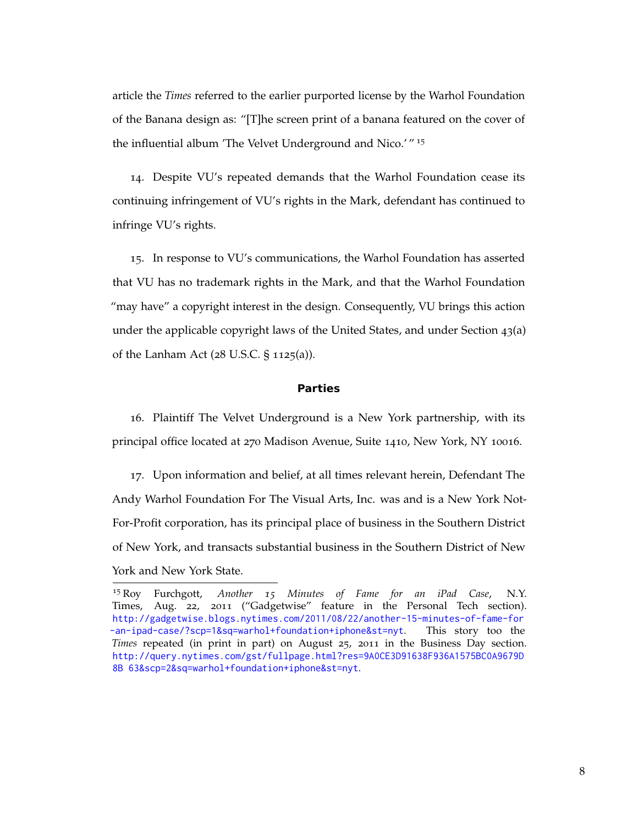article the *Times* referred to the earlier purported license by the Warhol Foundation of the Banana design as: "[T]he screen print of a banana featured on the cover of the influential album 'The Velvet Underground and Nico.' " <sup>15</sup>

14. Despite VU's repeated demands that the Warhol Foundation cease its continuing infringement of VU's rights in the Mark, defendant has continued to infringe VU's rights.

15. In response to VU's communications, the Warhol Foundation has asserted that VU has no trademark rights in the Mark, and that the Warhol Foundation "may have" a copyright interest in the design. Consequently, VU brings this action under the applicable copyright laws of the United States, and under Section 43(a) of the Lanham Act (28 U.S.C. § 1125(a)).

#### **Parties**

16. Plaintiff The Velvet Underground is a New York partnership, with its principal office located at 270 Madison Avenue, Suite 1410, New York, NY 10016.

17. Upon information and belief, at all times relevant herein, Defendant The Andy Warhol Foundation For The Visual Arts, Inc. was and is a New York Not-For-Profit corporation, has its principal place of business in the Southern District of New York, and transacts substantial business in the Southern District of New York and New York State.

<sup>15</sup> Roy Furchgott, *Another 15 Minutes of Fame for an iPad Case*, N.Y. Times, Aug. 22, 2011 ("Gadgetwise" feature in the Personal Tech section). [http://gadgetwise.blogs.nytimes.com/2011/08/22/another-15-minutes-of-fame-for](http://gadgetwise.blogs.nytimes.com/2011/08/22/another-15-minutes-of-fame-for-an-ipad-case/?scp=1&sq=warhol+foundation+iphone&st=nyt) [-an-ipad-case/?scp=1&sq=warhol+foundation+iphone&st=nyt](http://gadgetwise.blogs.nytimes.com/2011/08/22/another-15-minutes-of-fame-for-an-ipad-case/?scp=1&sq=warhol+foundation+iphone&st=nyt). This story too the *Times* repeated (in print in part) on August 25, 2011 in the Business Day section. [http://query.nytimes.com/gst/fullpage.html?res=9A0CE3D91638F936A1575BC0A9679D](http://query.nytimes.com/gst/fullpage.html?res=9A0CE3D91638F936A1575BC0A9679D8B63&scp=2&sq=warhol+foundation+iphone&st=nyt) [8B 63&scp=2&sq=warhol+foundation+iphone&st=nyt](http://query.nytimes.com/gst/fullpage.html?res=9A0CE3D91638F936A1575BC0A9679D8B63&scp=2&sq=warhol+foundation+iphone&st=nyt).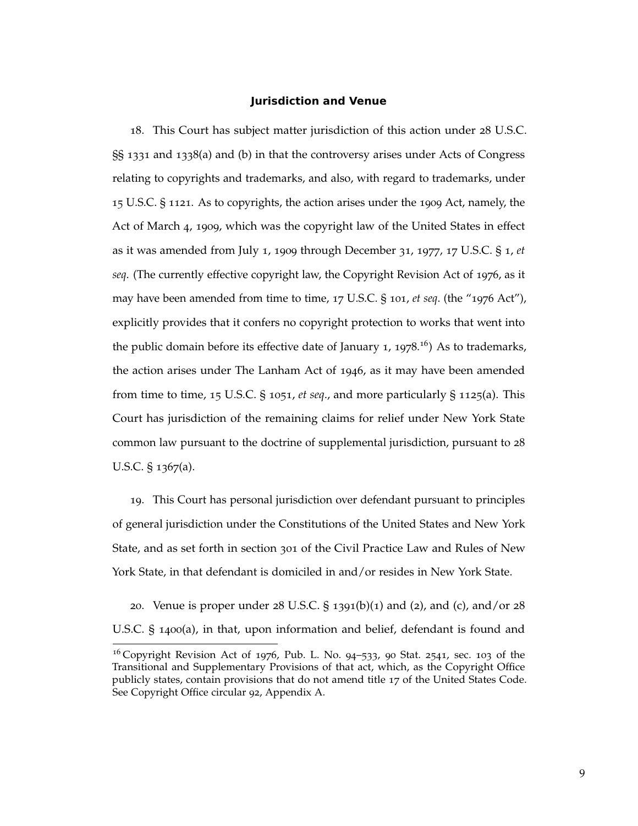## **Jurisdiction and Venue**

18. This Court has subject matter jurisdiction of this action under 28 U.S.C. §§ 1331 and 1338(a) and (b) in that the controversy arises under Acts of Congress relating to copyrights and trademarks, and also, with regard to trademarks, under 15 U.S.C. § 1121. As to copyrights, the action arises under the 1909 Act, namely, the Act of March 4, 1909, which was the copyright law of the United States in effect as it was amended from July 1, 1909 through December 31, 1977, 17 U.S.C. § 1, *et seq*. (The currently effective copyright law, the Copyright Revision Act of 1976, as it may have been amended from time to time, 17 U.S.C. § 101, *et seq*. (the "1976 Act"), explicitly provides that it confers no copyright protection to works that went into the public domain before its effective date of January 1, 1978.<sup>16</sup>) As to trademarks, the action arises under The Lanham Act of 1946, as it may have been amended from time to time, 15 U.S.C. § 1051, *et seq*., and more particularly § 1125(a). This Court has jurisdiction of the remaining claims for relief under New York State common law pursuant to the doctrine of supplemental jurisdiction, pursuant to 28 U.S.C. § 1367(a).

19. This Court has personal jurisdiction over defendant pursuant to principles of general jurisdiction under the Constitutions of the United States and New York State, and as set forth in section 301 of the Civil Practice Law and Rules of New York State, in that defendant is domiciled in and/or resides in New York State.

20. Venue is proper under  $28 \text{ U.S.C. }$  § 1391(b)(1) and (2), and (c), and/or  $28 \text{ V.S. }$ U.S.C. § 1400(a), in that, upon information and belief, defendant is found and

 $16$  Copyright Revision Act of 1976, Pub. L. No. 94-533, 90 Stat. 2541, sec. 103 of the Transitional and Supplementary Provisions of that act, which, as the Copyright Office publicly states, contain provisions that do not amend title 17 of the United States Code. See Copyright Office circular 92, Appendix A.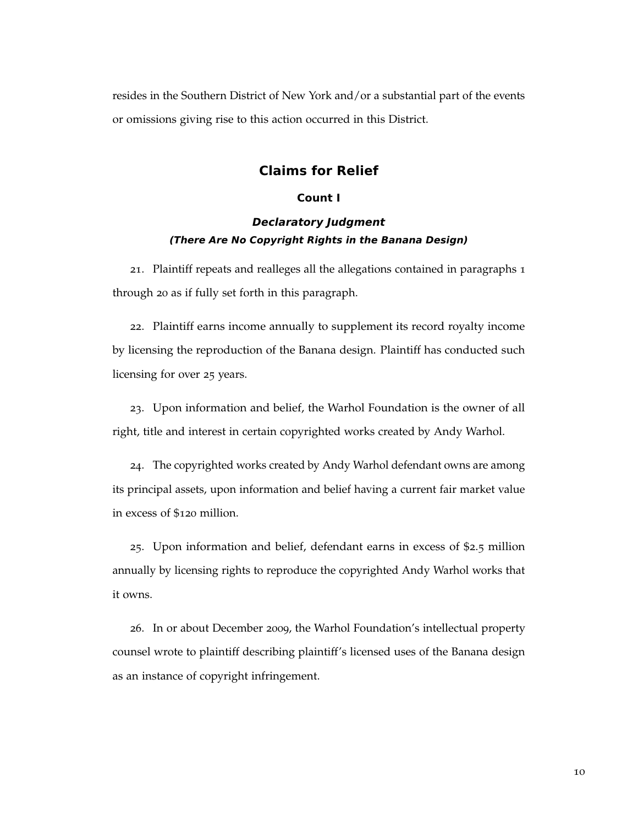resides in the Southern District of New York and/or a substantial part of the events or omissions giving rise to this action occurred in this District.

# **Claims for Relief**

## **Count I**

# **Declaratory Judgment (There Are No Copyright Rights in the Banana Design)**

21. Plaintiff repeats and realleges all the allegations contained in paragraphs 1 through 20 as if fully set forth in this paragraph.

22. Plaintiff earns income annually to supplement its record royalty income by licensing the reproduction of the Banana design. Plaintiff has conducted such licensing for over 25 years.

23. Upon information and belief, the Warhol Foundation is the owner of all right, title and interest in certain copyrighted works created by Andy Warhol.

24. The copyrighted works created by Andy Warhol defendant owns are among its principal assets, upon information and belief having a current fair market value in excess of \$120 million.

25. Upon information and belief, defendant earns in excess of \$2.5 million annually by licensing rights to reproduce the copyrighted Andy Warhol works that it owns.

26. In or about December 2009, the Warhol Foundation's intellectual property counsel wrote to plaintiff describing plaintiff's licensed uses of the Banana design as an instance of copyright infringement.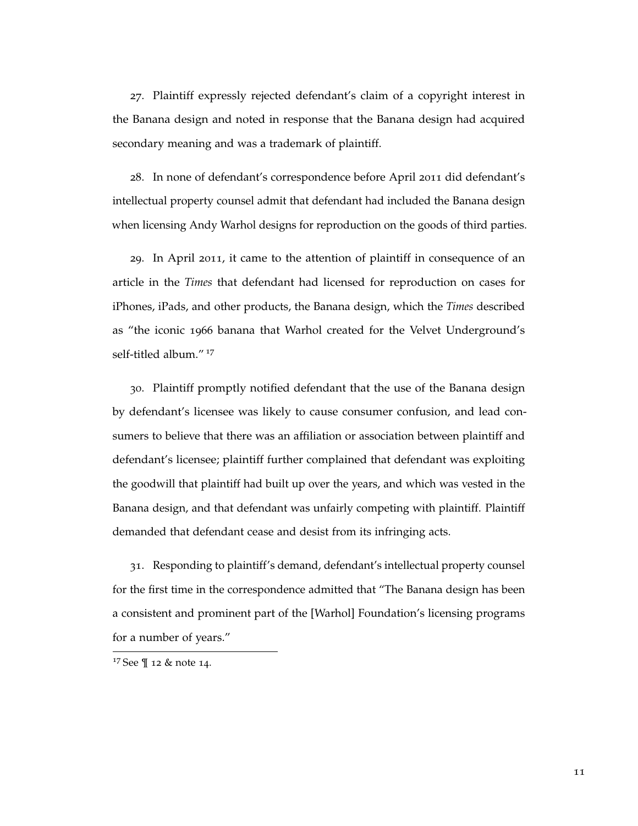27. Plaintiff expressly rejected defendant's claim of a copyright interest in the Banana design and noted in response that the Banana design had acquired secondary meaning and was a trademark of plaintiff.

28. In none of defendant's correspondence before April 2011 did defendant's intellectual property counsel admit that defendant had included the Banana design when licensing Andy Warhol designs for reproduction on the goods of third parties.

29. In April 2011, it came to the attention of plaintiff in consequence of an article in the *Times* that defendant had licensed for reproduction on cases for iPhones, iPads, and other products, the Banana design, which the *Times* described as "the iconic 1966 banana that Warhol created for the Velvet Underground's self-titled album."<sup>17</sup>

30. Plaintiff promptly notified defendant that the use of the Banana design by defendant's licensee was likely to cause consumer confusion, and lead consumers to believe that there was an affiliation or association between plaintiff and defendant's licensee; plaintiff further complained that defendant was exploiting the goodwill that plaintiff had built up over the years, and which was vested in the Banana design, and that defendant was unfairly competing with plaintiff. Plaintiff demanded that defendant cease and desist from its infringing acts.

31. Responding to plaintiff's demand, defendant's intellectual property counsel for the first time in the correspondence admitted that "The Banana design has been a consistent and prominent part of the [Warhol] Foundation's licensing programs for a number of years."

<sup>17</sup> See ¶ 12 & note 14.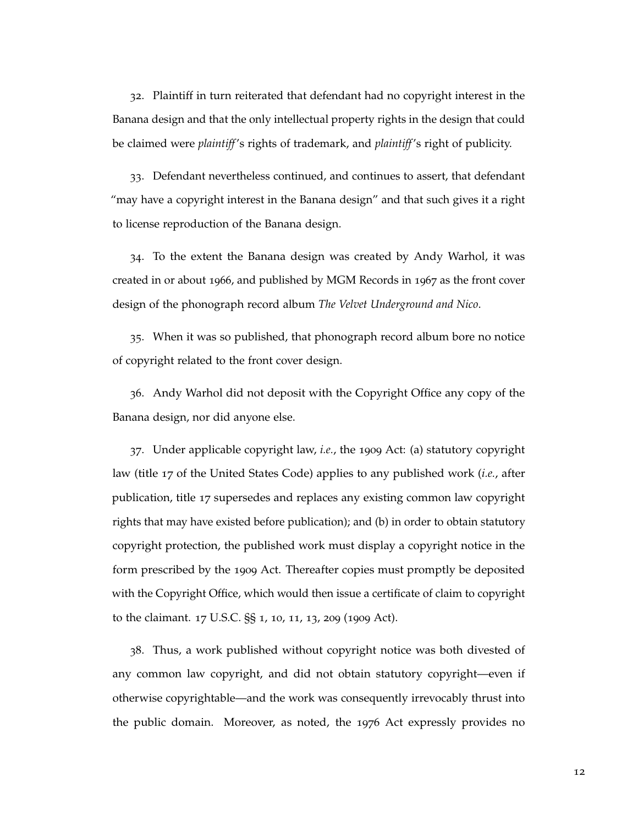32. Plaintiff in turn reiterated that defendant had no copyright interest in the Banana design and that the only intellectual property rights in the design that could be claimed were *plaintiff*'s rights of trademark, and *plaintiff*'s right of publicity.

33. Defendant nevertheless continued, and continues to assert, that defendant "may have a copyright interest in the Banana design" and that such gives it a right to license reproduction of the Banana design.

34. To the extent the Banana design was created by Andy Warhol, it was created in or about 1966, and published by MGM Records in 1967 as the front cover design of the phonograph record album *The Velvet Underground and Nico*.

35. When it was so published, that phonograph record album bore no notice of copyright related to the front cover design.

36. Andy Warhol did not deposit with the Copyright Office any copy of the Banana design, nor did anyone else.

37. Under applicable copyright law, *i.e.*, the 1909 Act: (a) statutory copyright law (title 17 of the United States Code) applies to any published work (*i.e.*, after publication, title 17 supersedes and replaces any existing common law copyright rights that may have existed before publication); and (b) in order to obtain statutory copyright protection, the published work must display a copyright notice in the form prescribed by the 1909 Act. Thereafter copies must promptly be deposited with the Copyright Office, which would then issue a certificate of claim to copyright to the claimant. 17 U.S.C. §§ 1, 10, 11, 13, 209 (1909 Act).

38. Thus, a work published without copyright notice was both divested of any common law copyright, and did not obtain statutory copyright—even if otherwise copyrightable—and the work was consequently irrevocably thrust into the public domain. Moreover, as noted, the 1976 Act expressly provides no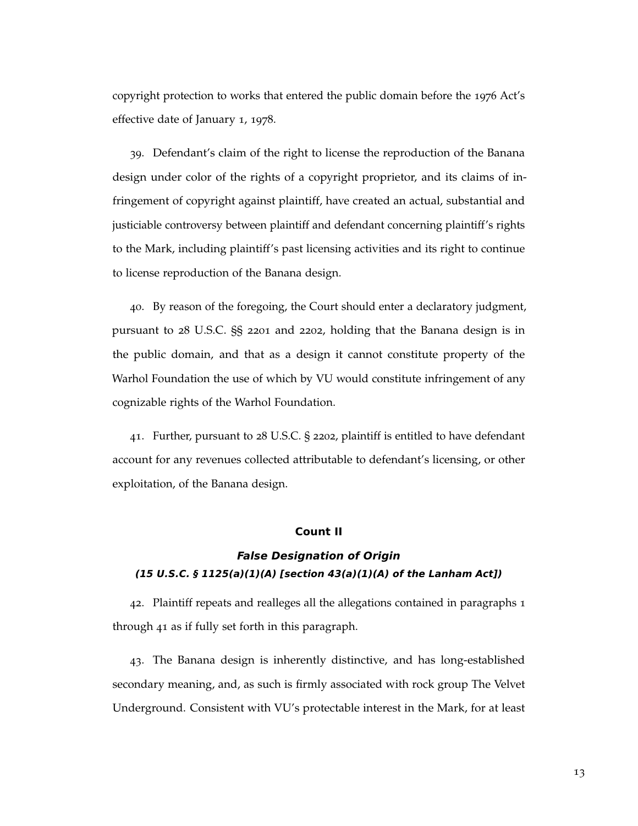copyright protection to works that entered the public domain before the 1976 Act's effective date of January 1, 1978.

39. Defendant's claim of the right to license the reproduction of the Banana design under color of the rights of a copyright proprietor, and its claims of infringement of copyright against plaintiff, have created an actual, substantial and justiciable controversy between plaintiff and defendant concerning plaintiff's rights to the Mark, including plaintiff's past licensing activities and its right to continue to license reproduction of the Banana design.

40. By reason of the foregoing, the Court should enter a declaratory judgment, pursuant to 28 U.S.C. §§ 2201 and 2202, holding that the Banana design is in the public domain, and that as a design it cannot constitute property of the Warhol Foundation the use of which by VU would constitute infringement of any cognizable rights of the Warhol Foundation.

41. Further, pursuant to 28 U.S.C. § 2202, plaintiff is entitled to have defendant account for any revenues collected attributable to defendant's licensing, or other exploitation, of the Banana design.

# **Count II**

# **False Designation of Origin (15 U.S.C. § 1125(a)(1)(A) [section 43(a)(1)(A) of the Lanham Act])**

42. Plaintiff repeats and realleges all the allegations contained in paragraphs 1 through 41 as if fully set forth in this paragraph.

43. The Banana design is inherently distinctive, and has long-established secondary meaning, and, as such is firmly associated with rock group The Velvet Underground. Consistent with VU's protectable interest in the Mark, for at least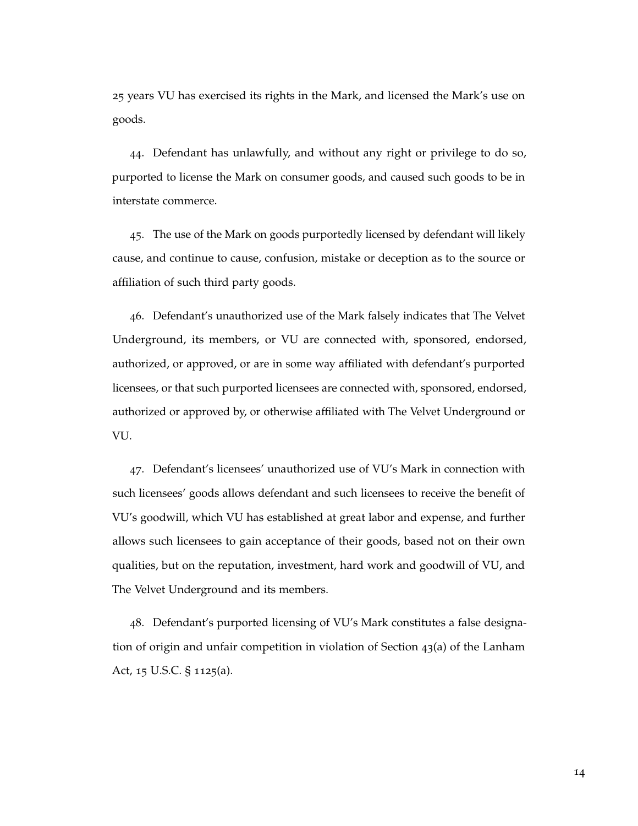25 years VU has exercised its rights in the Mark, and licensed the Mark's use on goods.

44. Defendant has unlawfully, and without any right or privilege to do so, purported to license the Mark on consumer goods, and caused such goods to be in interstate commerce.

45. The use of the Mark on goods purportedly licensed by defendant will likely cause, and continue to cause, confusion, mistake or deception as to the source or affiliation of such third party goods.

46. Defendant's unauthorized use of the Mark falsely indicates that The Velvet Underground, its members, or VU are connected with, sponsored, endorsed, authorized, or approved, or are in some way affiliated with defendant's purported licensees, or that such purported licensees are connected with, sponsored, endorsed, authorized or approved by, or otherwise affiliated with The Velvet Underground or VU.

47. Defendant's licensees' unauthorized use of VU's Mark in connection with such licensees' goods allows defendant and such licensees to receive the benefit of VU's goodwill, which VU has established at great labor and expense, and further allows such licensees to gain acceptance of their goods, based not on their own qualities, but on the reputation, investment, hard work and goodwill of VU, and The Velvet Underground and its members.

48. Defendant's purported licensing of VU's Mark constitutes a false designation of origin and unfair competition in violation of Section 43(a) of the Lanham Act, 15 U.S.C. § 1125(a).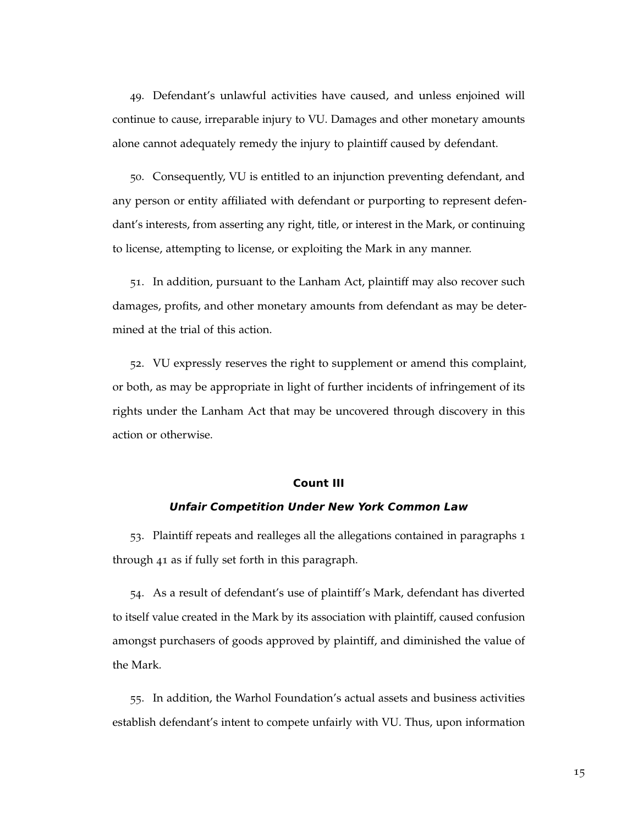49. Defendant's unlawful activities have caused, and unless enjoined will continue to cause, irreparable injury to VU. Damages and other monetary amounts alone cannot adequately remedy the injury to plaintiff caused by defendant.

50. Consequently, VU is entitled to an injunction preventing defendant, and any person or entity affiliated with defendant or purporting to represent defendant's interests, from asserting any right, title, or interest in the Mark, or continuing to license, attempting to license, or exploiting the Mark in any manner.

51. In addition, pursuant to the Lanham Act, plaintiff may also recover such damages, profits, and other monetary amounts from defendant as may be determined at the trial of this action.

52. VU expressly reserves the right to supplement or amend this complaint, or both, as may be appropriate in light of further incidents of infringement of its rights under the Lanham Act that may be uncovered through discovery in this action or otherwise.

## **Count III**

#### **Unfair Competition Under New York Common Law**

53. Plaintiff repeats and realleges all the allegations contained in paragraphs 1 through 41 as if fully set forth in this paragraph.

54. As a result of defendant's use of plaintiff's Mark, defendant has diverted to itself value created in the Mark by its association with plaintiff, caused confusion amongst purchasers of goods approved by plaintiff, and diminished the value of the Mark.

55. In addition, the Warhol Foundation's actual assets and business activities establish defendant's intent to compete unfairly with VU. Thus, upon information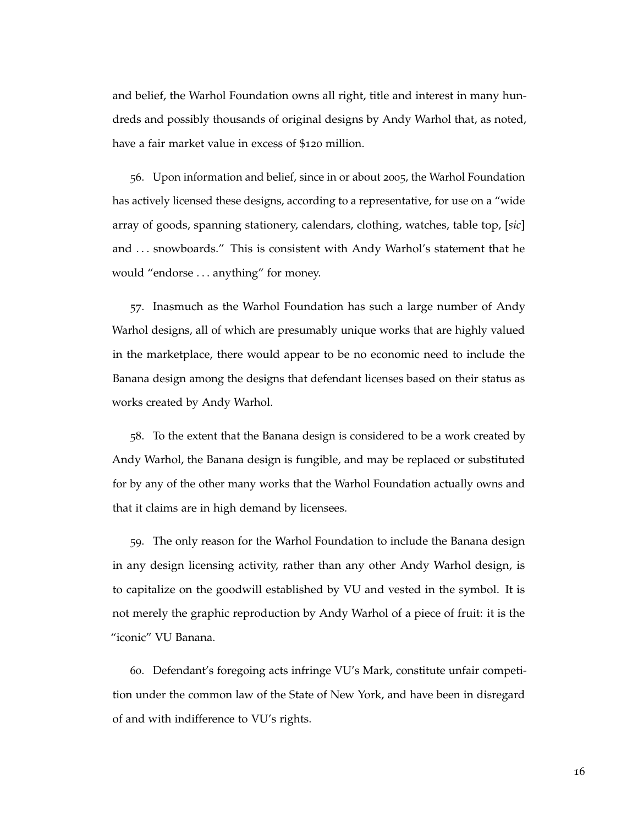and belief, the Warhol Foundation owns all right, title and interest in many hundreds and possibly thousands of original designs by Andy Warhol that, as noted, have a fair market value in excess of \$120 million.

56. Upon information and belief, since in or about 2005, the Warhol Foundation has actively licensed these designs, according to a representative, for use on a "wide array of goods, spanning stationery, calendars, clothing, watches, table top, [*sic*] and . . . snowboards." This is consistent with Andy Warhol's statement that he would "endorse . . . anything" for money.

57. Inasmuch as the Warhol Foundation has such a large number of Andy Warhol designs, all of which are presumably unique works that are highly valued in the marketplace, there would appear to be no economic need to include the Banana design among the designs that defendant licenses based on their status as works created by Andy Warhol.

58. To the extent that the Banana design is considered to be a work created by Andy Warhol, the Banana design is fungible, and may be replaced or substituted for by any of the other many works that the Warhol Foundation actually owns and that it claims are in high demand by licensees.

59. The only reason for the Warhol Foundation to include the Banana design in any design licensing activity, rather than any other Andy Warhol design, is to capitalize on the goodwill established by VU and vested in the symbol. It is not merely the graphic reproduction by Andy Warhol of a piece of fruit: it is the "iconic" VU Banana.

60. Defendant's foregoing acts infringe VU's Mark, constitute unfair competition under the common law of the State of New York, and have been in disregard of and with indifference to VU's rights.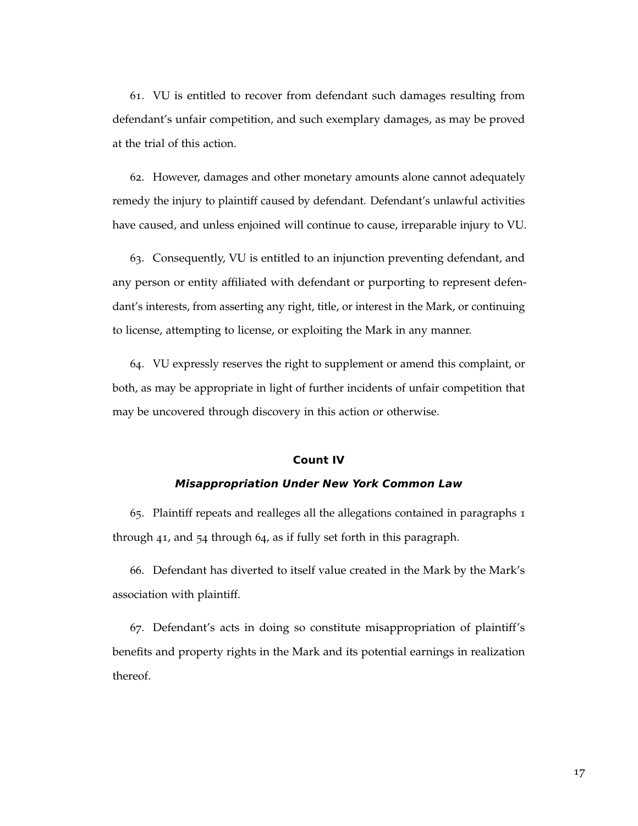61. VU is entitled to recover from defendant such damages resulting from defendant's unfair competition, and such exemplary damages, as may be proved at the trial of this action.

62. However, damages and other monetary amounts alone cannot adequately remedy the injury to plaintiff caused by defendant. Defendant's unlawful activities have caused, and unless enjoined will continue to cause, irreparable injury to VU.

63. Consequently, VU is entitled to an injunction preventing defendant, and any person or entity affiliated with defendant or purporting to represent defendant's interests, from asserting any right, title, or interest in the Mark, or continuing to license, attempting to license, or exploiting the Mark in any manner.

64. VU expressly reserves the right to supplement or amend this complaint, or both, as may be appropriate in light of further incidents of unfair competition that may be uncovered through discovery in this action or otherwise.

## **Count IV**

#### **Misappropriation Under New York Common Law**

65. Plaintiff repeats and realleges all the allegations contained in paragraphs 1 through 41, and 54 through 64, as if fully set forth in this paragraph.

66. Defendant has diverted to itself value created in the Mark by the Mark's association with plaintiff.

67. Defendant's acts in doing so constitute misappropriation of plaintiff's benefits and property rights in the Mark and its potential earnings in realization thereof.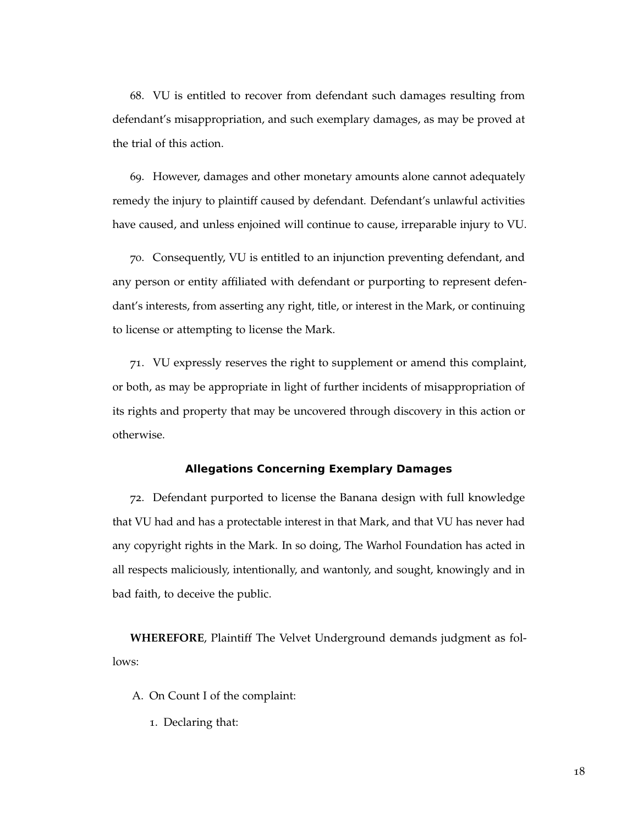68. VU is entitled to recover from defendant such damages resulting from defendant's misappropriation, and such exemplary damages, as may be proved at the trial of this action.

69. However, damages and other monetary amounts alone cannot adequately remedy the injury to plaintiff caused by defendant. Defendant's unlawful activities have caused, and unless enjoined will continue to cause, irreparable injury to VU.

70. Consequently, VU is entitled to an injunction preventing defendant, and any person or entity affiliated with defendant or purporting to represent defendant's interests, from asserting any right, title, or interest in the Mark, or continuing to license or attempting to license the Mark.

71. VU expressly reserves the right to supplement or amend this complaint, or both, as may be appropriate in light of further incidents of misappropriation of its rights and property that may be uncovered through discovery in this action or otherwise.

## **Allegations Concerning Exemplary Damages**

72. Defendant purported to license the Banana design with full knowledge that VU had and has a protectable interest in that Mark, and that VU has never had any copyright rights in the Mark. In so doing, The Warhol Foundation has acted in all respects maliciously, intentionally, and wantonly, and sought, knowingly and in bad faith, to deceive the public.

**WHEREFORE**, Plaintiff The Velvet Underground demands judgment as follows:

- A. On Count I of the complaint:
	- 1. Declaring that: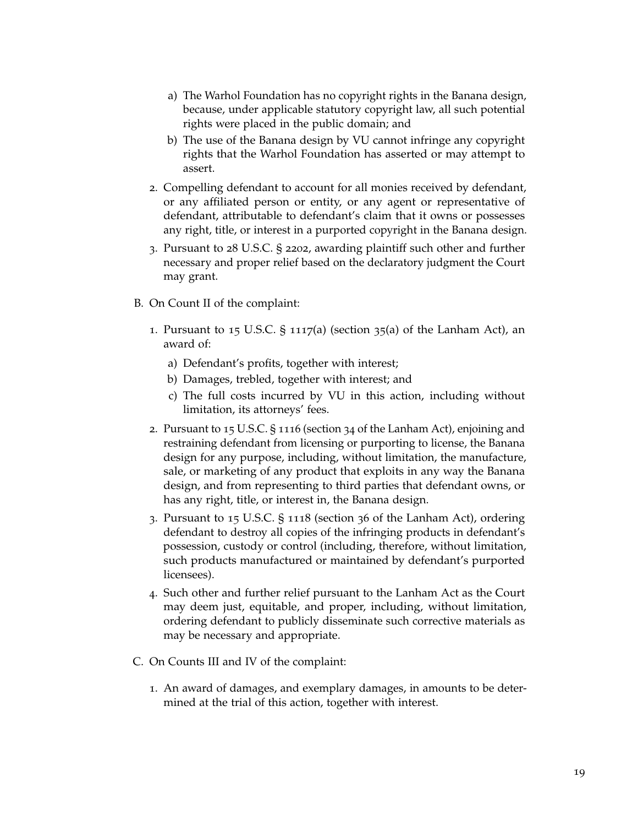- a) The Warhol Foundation has no copyright rights in the Banana design, because, under applicable statutory copyright law, all such potential rights were placed in the public domain; and
- b) The use of the Banana design by VU cannot infringe any copyright rights that the Warhol Foundation has asserted or may attempt to assert.
- 2. Compelling defendant to account for all monies received by defendant, or any affiliated person or entity, or any agent or representative of defendant, attributable to defendant's claim that it owns or possesses any right, title, or interest in a purported copyright in the Banana design.
- 3. Pursuant to 28 U.S.C. § 2202, awarding plaintiff such other and further necessary and proper relief based on the declaratory judgment the Court may grant.
- B. On Count II of the complaint:
	- 1. Pursuant to 15 U.S.C.  $\S$  1117(a) (section 35(a) of the Lanham Act), an award of:
		- a) Defendant's profits, together with interest;
		- b) Damages, trebled, together with interest; and
		- c) The full costs incurred by VU in this action, including without limitation, its attorneys' fees.
	- 2. Pursuant to 15 U.S.C. § 1116 (section 34 of the Lanham Act), enjoining and restraining defendant from licensing or purporting to license, the Banana design for any purpose, including, without limitation, the manufacture, sale, or marketing of any product that exploits in any way the Banana design, and from representing to third parties that defendant owns, or has any right, title, or interest in, the Banana design.
	- 3. Pursuant to 15 U.S.C. § 1118 (section 36 of the Lanham Act), ordering defendant to destroy all copies of the infringing products in defendant's possession, custody or control (including, therefore, without limitation, such products manufactured or maintained by defendant's purported licensees).
	- 4. Such other and further relief pursuant to the Lanham Act as the Court may deem just, equitable, and proper, including, without limitation, ordering defendant to publicly disseminate such corrective materials as may be necessary and appropriate.
- C. On Counts III and IV of the complaint:
	- 1. An award of damages, and exemplary damages, in amounts to be determined at the trial of this action, together with interest.